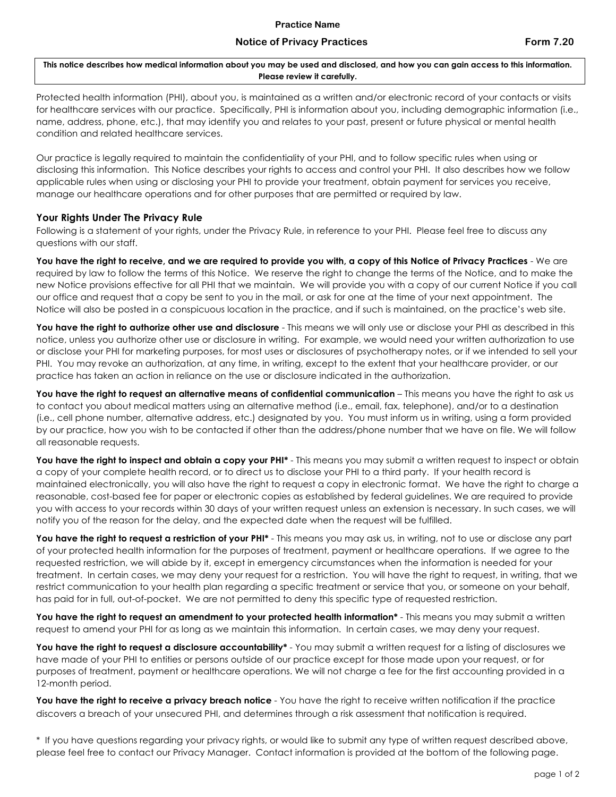## **Notice of Privacy Practices Form 7.20**

**This notice describes how medical information about you may be used and disclosed, and how you can gain access to this information. Please review it carefully.**

Protected health information (PHI), about you, is maintained as a written and/or electronic record of your contacts or visits for healthcare services with our practice. Specifically, PHI is information about you, including demographic information (i.e., name, address, phone, etc.), that may identify you and relates to your past, present or future physical or mental health condition and related healthcare services.

Our practice is legally required to maintain the confidentiality of your PHI, and to follow specific rules when using or disclosing this information. This Notice describes your rights to access and control your PHI. It also describes how we follow applicable rules when using or disclosing your PHI to provide your treatment, obtain payment for services you receive, manage our healthcare operations and for other purposes that are permitted or required by law.

## **Your Rights Under The Privacy Rule**

Following is a statement of your rights, under the Privacy Rule, in reference to your PHI. Please feel free to discuss any questions with our staff.

**You have the right to receive, and we are required to provide you with, a copy of this Notice of Privacy Practices** - We are required by law to follow the terms of this Notice. We reserve the right to change the terms of the Notice, and to make the new Notice provisions effective for all PHI that we maintain. We will provide you with a copy of our current Notice if you call our office and request that a copy be sent to you in the mail, or ask for one at the time of your next appointment. The Notice will also be posted in a conspicuous location in the practice, and if such is maintained, on the practice's web site.

You have the right to authorize other use and disclosure - This means we will only use or disclose your PHI as described in this notice, unless you authorize other use or disclosure in writing. For example, we would need your written authorization to use or disclose your PHI for marketing purposes, for most uses or disclosures of psychotherapy notes, or if we intended to sell your PHI. You may revoke an authorization, at any time, in writing, except to the extent that your healthcare provider, or our practice has taken an action in reliance on the use or disclosure indicated in the authorization.

**You have the right to request an alternative means of confidential communication** – This means you have the right to ask us to contact you about medical matters using an alternative method (i.e., email, fax, telephone), and/or to a destination (i.e., cell phone number, alternative address, etc.) designated by you. You must inform us in writing, using a form provided by our practice, how you wish to be contacted if other than the address/phone number that we have on file. We will follow all reasonable requests.

You have the right to inspect and obtain a copy your PHI<sup>\*</sup> - This means you may submit a written request to inspect or obtain a copy of your complete health record, or to direct us to disclose your PHI to a third party. If your health record is maintained electronically, you will also have the right to request a copy in electronic format. We have the right to charge a reasonable, cost-based fee for paper or electronic copies as established by federal guidelines. We are required to provide you with access to your records within 30 days of your written request unless an extension is necessary. In such cases, we will notify you of the reason for the delay, and the expected date when the request will be fulfilled.

You have the right to request a restriction of your PHI<sup>\*</sup> - This means you may ask us, in writing, not to use or disclose any part of your protected health information for the purposes of treatment, payment or healthcare operations. If we agree to the requested restriction, we will abide by it, except in emergency circumstances when the information is needed for your treatment. In certain cases, we may deny your request for a restriction. You will have the right to request, in writing, that we restrict communication to your health plan regarding a specific treatment or service that you, or someone on your behalf, has paid for in full, out-of-pocket. We are not permitted to deny this specific type of requested restriction.

**You have the right to request an amendment to your protected health information\*** - This means you may submit a written request to amend your PHI for as long as we maintain this information. In certain cases, we may deny your request.

You have the right to request a disclosure accountability\* - You may submit a written request for a listing of disclosures we have made of your PHI to entities or persons outside of our practice except for those made upon your request, or for purposes of treatment, payment or healthcare operations. We will not charge a fee for the first accounting provided in a 12-month period.

**You have the right to receive a privacy breach notice** - You have the right to receive written notification if the practice discovers a breach of your unsecured PHI, and determines through a risk assessment that notification is required.

\* If you have questions regarding your privacy rights, or would like to submit any type of written request described above, please feel free to contact our Privacy Manager. Contact information is provided at the bottom of the following page.